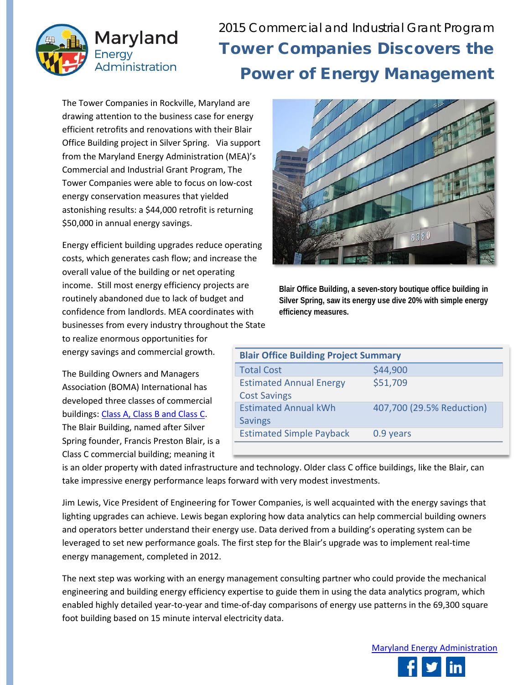

2015 Commercial and Industrial Grant Program Tower Companies Discovers the Power of Energy Management

The Tower Companies in Rockville, Maryland are drawing attention to the business case for energy efficient retrofits and renovations with their Blair Office Building project in Silver Spring. Via support from the Maryland Energy Administration (MEA)'s Commercial and Industrial Grant Program, The Tower Companies were able to focus on low-cost energy conservation measures that yielded astonishing results: a \$44,000 retrofit is returning \$50,000 in annual energy savings.

Energy efficient building upgrades reduce operating costs, which generates cash flow; and increase the overall value of the building or net operating income. Still most energy efficiency projects are routinely abandoned due to lack of budget and confidence from landlords. MEA coordinates with businesses from every industry throughout the State to realize enormous opportunities for

energy savings and commercial growth.

The Building Owners and Managers Association (BOMA) International has developed three classes of commercial buildings: [Class A, Class B and Class C.](http://www.boma.org/research/pages/building-class-definitions.aspx) The Blair Building, named after Silver Spring founder, Francis Preston Blair, is a Class C commercial building; meaning it



**Blair Office Building, a seven-story boutique office building in Silver Spring, saw its energy use dive 20% with simple energy efficiency measures.** 

| <b>Blair Office Building Project Summary</b> |                           |
|----------------------------------------------|---------------------------|
| <b>Total Cost</b>                            | \$44,900                  |
| <b>Estimated Annual Energy</b>               | \$51,709                  |
| <b>Cost Savings</b>                          |                           |
| <b>Estimated Annual kWh</b>                  | 407,700 (29.5% Reduction) |
| <b>Savings</b>                               |                           |
| <b>Estimated Simple Payback</b>              | 0.9 years                 |
|                                              |                           |

is an older property with dated infrastructure and technology. Older class C office buildings, like the Blair, can take impressive energy performance leaps forward with very modest investments.

Jim Lewis, Vice President of Engineering for Tower Companies, is well acquainted with the energy savings that lighting upgrades can achieve. Lewis began exploring how data analytics can help commercial building owners and operators better understand their energy use. Data derived from a building's operating system can be leveraged to set new performance goals. The first step for the Blair's upgrade was to implement real-time energy management, completed in 2012.

The next step was working with an energy management consulting partner who could provide the mechanical engineering and building energy efficiency expertise to guide them in using the data analytics program, which enabled highly detailed year-to-year and time-of-day comparisons of energy use patterns in the 69,300 square foot building based on 15 minute interval electricity data.

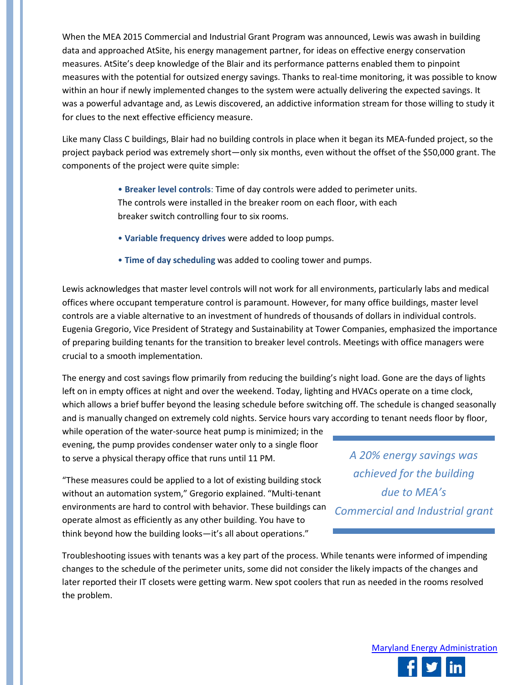When the MEA 2015 Commercial and Industrial Grant Program was announced, Lewis was awash in building data and approached AtSite, his energy management partner, for ideas on effective energy conservation measures. AtSite's deep knowledge of the Blair and its performance patterns enabled them to pinpoint measures with the potential for outsized energy savings. Thanks to real-time monitoring, it was possible to know within an hour if newly implemented changes to the system were actually delivering the expected savings. It was a powerful advantage and, as Lewis discovered, an addictive information stream for those willing to study it for clues to the next effective efficiency measure.

Like many Class C buildings, Blair had no building controls in place when it began its MEA-funded project, so the project payback period was extremely short—only six months, even without the offset of the \$50,000 grant. The components of the project were quite simple:

> • **Breaker level controls**: Time of day controls were added to perimeter units. The controls were installed in the breaker room on each floor, with each breaker switch controlling four to six rooms.

- **Variable frequency drives** were added to loop pumps.
- **Time of day scheduling** was added to cooling tower and pumps.

Lewis acknowledges that master level controls will not work for all environments, particularly labs and medical offices where occupant temperature control is paramount. However, for many office buildings, master level controls are a viable alternative to an investment of hundreds of thousands of dollars in individual controls. Eugenia Gregorio, Vice President of Strategy and Sustainability at Tower Companies, emphasized the importance of preparing building tenants for the transition to breaker level controls. Meetings with office managers were crucial to a smooth implementation.

The energy and cost savings flow primarily from reducing the building's night load. Gone are the days of lights left on in empty offices at night and over the weekend. Today, lighting and HVACs operate on a time clock, which allows a brief buffer beyond the leasing schedule before switching off. The schedule is changed seasonally and is manually changed on extremely cold nights. Service hours vary according to tenant needs floor by floor,

while operation of the water-source heat pump is minimized; in the evening, the pump provides condenser water only to a single floor to serve a physical therapy office that runs until 11 PM.

"These measures could be applied to a lot of existing building stock without an automation system," Gregorio explained. "Multi-tenant environments are hard to control with behavior. These buildings can operate almost as efficiently as any other building. You have to think beyond how the building looks—it's all about operations."

*A 20% energy savings was achieved for the building due to MEA's Commercial and Industrial grant*

Troubleshooting issues with tenants was a key part of the process. While tenants were informed of impending changes to the schedule of the perimeter units, some did not consider the likely impacts of the changes and later reported their IT closets were getting warm. New spot coolers that run as needed in the rooms resolved the problem.